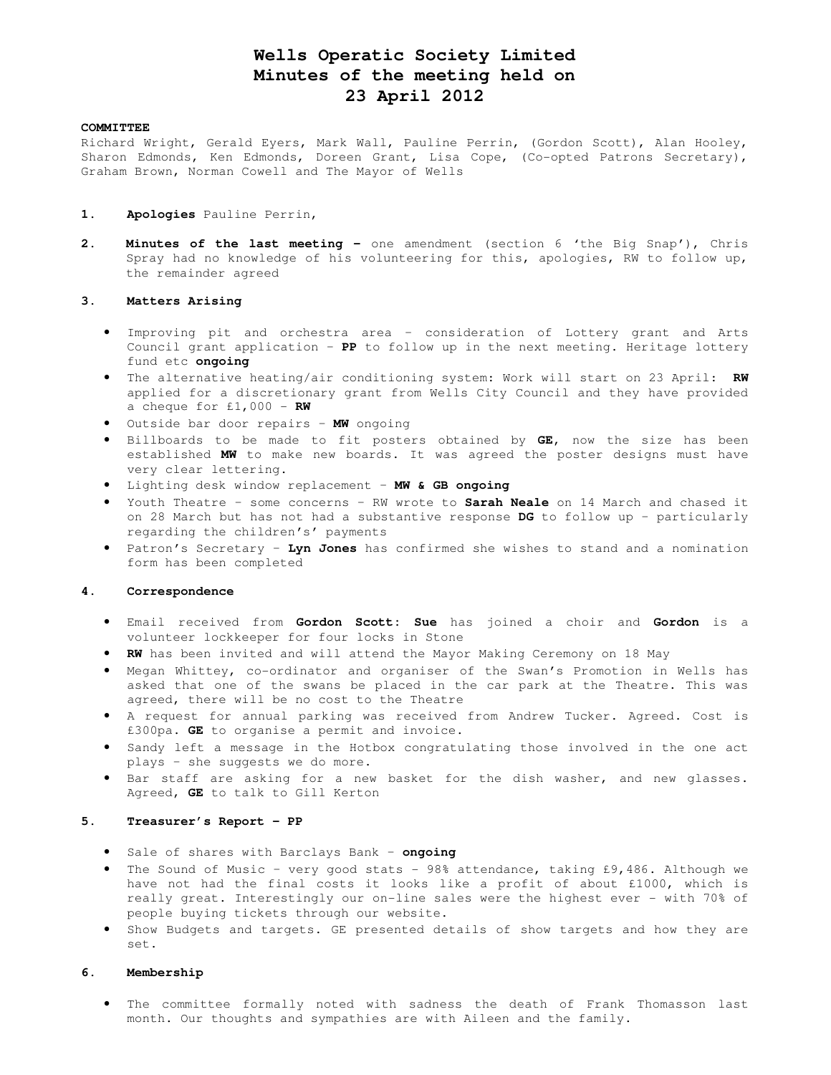# **Wells Operatic Society Limited Minutes of the meeting held on 23 April 2012**

### **COMMITTEE**

Richard Wright, Gerald Eyers, Mark Wall, Pauline Perrin, (Gordon Scott), Alan Hooley, Sharon Edmonds, Ken Edmonds, Doreen Grant, Lisa Cope, (Co-opted Patrons Secretary), Graham Brown, Norman Cowell and The Mayor of Wells

#### **1. Apologies** Pauline Perrin,

**2. Minutes of the last meeting -** one amendment (section 6 'the Big Snap'), Chris Spray had no knowledge of his volunteering for this, apologies, RW to follow up, the remainder agreed

## **3. Matters Arising**

- Improving pit and orchestra area consideration of Lottery grant and Arts Council grant application – **PP** to follow up in the next meeting. Heritage lottery fund etc **ongoing**
- The alternative heating/air conditioning system: Work will start on 23 April: **RW** applied for a discretionary grant from Wells City Council and they have provided a cheque for  $£1,000 - RW$
- Outside bar door repairs **MW** ongoing
- Billboards to be made to fit posters obtained by **GE,** now the size has been established **MW** to make new boards. It was agreed the poster designs must have very clear lettering.
- Lighting desk window replacement **MW & GB ongoing**
- Youth Theatre some concerns RW wrote to **Sarah Neale** on 14 March and chased it on 28 March but has not had a substantive response **DG** to follow up – particularly regarding the children's' payments
- Patron's Secretary **Lyn Jones** has confirmed she wishes to stand and a nomination form has been completed

# **4. Correspondence**

- Email received from **Gordon Scott: Sue** has joined a choir and **Gordon** is a volunteer lockkeeper for four locks in Stone
- **RW** has been invited and will attend the Mayor Making Ceremony on 18 May
- Megan Whittey, co-ordinator and organiser of the Swan's Promotion in Wells has asked that one of the swans be placed in the car park at the Theatre. This was agreed, there will be no cost to the Theatre
- A request for annual parking was received from Andrew Tucker. Agreed. Cost is £300pa. **GE** to organise a permit and invoice.
- Sandy left a message in the Hotbox congratulating those involved in the one act plays – she suggests we do more.
- Bar staff are asking for a new basket for the dish washer, and new glasses. Agreed, **GE** to talk to Gill Kerton

## **5. Treasurer's Report – PP**

- Sale of shares with Barclays Bank **ongoing**
- The Sound of Music very good stats 98% attendance, taking £9,486. Although we have not had the final costs it looks like a profit of about £1000, which is really great. Interestingly our on-line sales were the highest ever - with 70% of people buying tickets through our website.
- Show Budgets and targets. GE presented details of show targets and how they are set.

# **6. Membership**

• The committee formally noted with sadness the death of Frank Thomasson last month. Our thoughts and sympathies are with Aileen and the family.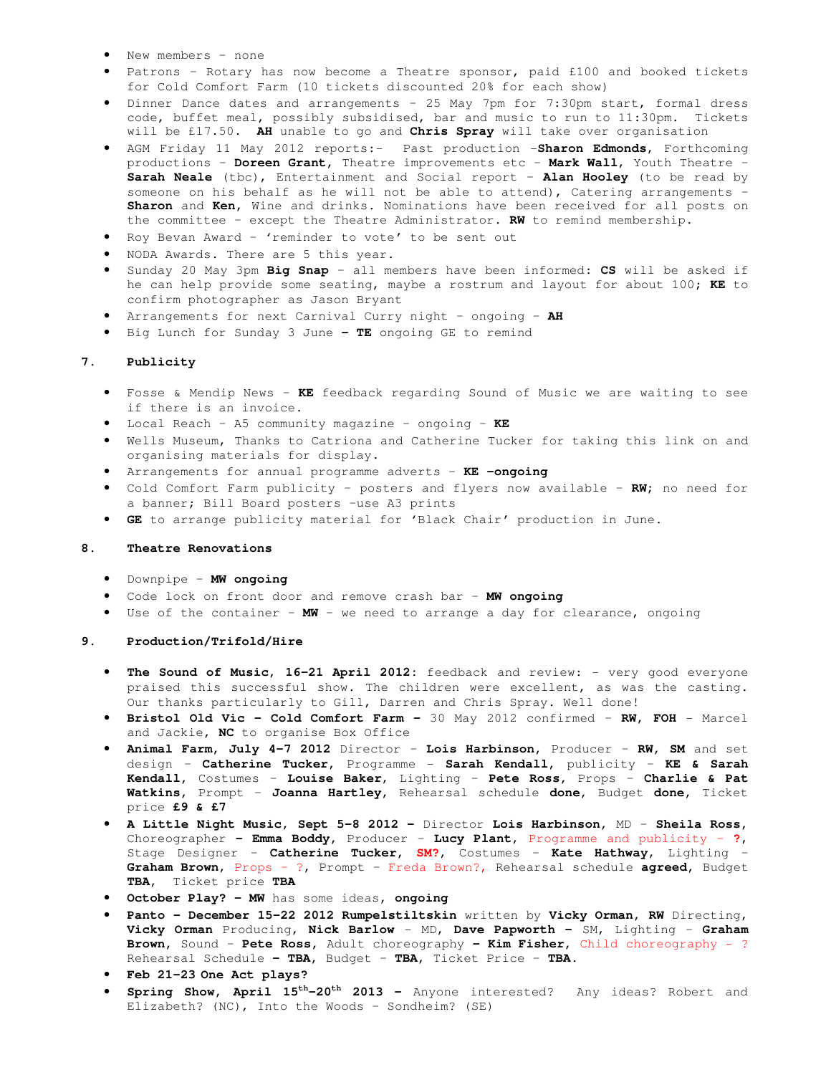- New members none
- Patrons Rotary has now become a Theatre sponsor, paid £100 and booked tickets for Cold Comfort Farm (10 tickets discounted 20% for each show)
- Dinner Dance dates and arrangements 25 May 7pm for 7:30pm start, formal dress code, buffet meal, possibly subsidised, bar and music to run to 11:30pm. Tickets will be £17.50. **AH** unable to go and **Chris Spray** will take over organisation
- AGM Friday 11 May 2012 reports:- Past production -**Sharon Edmonds**, Forthcoming productions – **Doreen Grant,** Theatre improvements etc – **Mark Wall**, Youth Theatre – **Sarah Neale** (tbc), Entertainment and Social report – **Alan Hooley** (to be read by someone on his behalf as he will not be able to attend), Catering arrangements – **Sharon** and **Ken,** Wine and drinks. Nominations have been received for all posts on the committee – except the Theatre Administrator. **RW** to remind membership.
- Roy Bevan Award 'reminder to vote' to be sent out
- NODA Awards. There are 5 this year.
- Sunday 20 May 3pm **Big Snap** all members have been informed: **CS** will be asked if he can help provide some seating, maybe a rostrum and layout for about 100; **KE** to confirm photographer as Jason Bryant
- Arrangements for next Carnival Curry night ongoing **AH**
- Big Lunch for Sunday 3 June **TE** ongoing GE to remind

### **7. Publicity**

- Fosse & Mendip News **KE** feedback regarding Sound of Music we are waiting to see if there is an invoice.
- Local Reach A5 community magazine ongoing **KE**
- Wells Museum, Thanks to Catriona and Catherine Tucker for taking this link on and organising materials for display.
- Arrangements for annual programme adverts **KE -ongoing**
- Cold Comfort Farm publicity posters and flyers now available **RW;** no need for a banner; Bill Board posters –use A3 prints
- **GE** to arrange publicity material for 'Black Chair' production in June.

#### **8. Theatre Renovations**

- Downpipe **MW ongoing**
- Code lock on front door and remove crash bar **MW ongoing**
- Use of the container **MW**  we need to arrange a day for clearance, ongoing

#### **9. Production/Trifold/Hire**

- **The Sound of Music, 16-21 April 2012:** feedback and review: very good everyone praised this successful show. The children were excellent, as was the casting. Our thanks particularly to Gill, Darren and Chris Spray. Well done!
- **Bristol Old Vic Cold Comfort Farm** 30 May 2012 confirmed **RW, FOH** Marcel and Jackie**, NC** to organise Box Office
- **Animal Farm, July 4-7 2012** Director **Lois Harbinson,** Producer **RW, SM** and set design – **Catherine Tucker,** Programme - **Sarah Kendall,** publicity – **KE & Sarah Kendall,** Costumes – **Louise Baker**, Lighting – **Pete Ross,** Props – **Charlie & Pat Watkins,** Prompt – **Joanna Hartley,** Rehearsal schedule **done,** Budget **done,** Ticket price **£9 & £7**
- **A Little Night Music, Sept 5-8 2012** Director **Lois Harbinson,** MD **Sheila Ross,**  Choreographer **– Emma Boddy,** Producer – **Lucy Plant**, Programme and publicity – **?**, Stage Designer – **Catherine Tucker, SM?**, Costumes – **Kate Hathway**, Lighting – **Graham Brown**, Props – ?, Prompt – Freda Brown?, Rehearsal schedule **agreed,** Budget **TBA,** Ticket price **TBA**
- **October Play? MW** has some ideas**, ongoing**
- **Panto December 15-22 2012 Rumpelstiltskin** written by **Vicky Orman, RW** Directing, **Vicky Orman** Producing, **Nick Barlow** - MD, **Dave Papworth -** SM, Lighting – **Graham Brown,** Sound – **Pete Ross,** Adult choreography **– Kim Fisher,** Child choreography - ? Rehearsal Schedule **– TBA,** Budget – **TBA,** Ticket Price – **TBA.**
- **Feb 21-23 One Act plays?**
- **Spring Show, April 15th-20th 2013** Anyone interested? Any ideas? Robert and Elizabeth? (NC), Into the Woods – Sondheim? (SE)